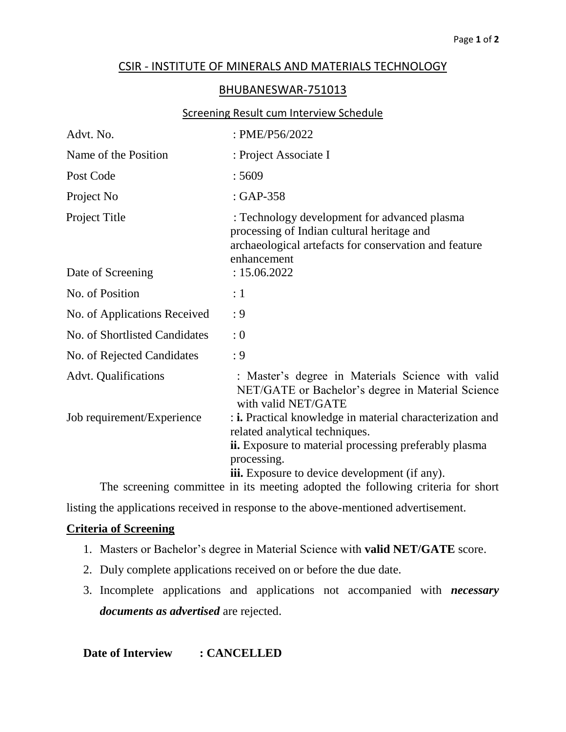# CSIR - INSTITUTE OF MINERALS AND MATERIALS TECHNOLOGY

### BHUBANESWAR-751013

#### Screening Result cum Interview Schedule

| Advt. No.                                                                                                                               | : PME/P56/2022                                                                                                                                                             |  |  |  |
|-----------------------------------------------------------------------------------------------------------------------------------------|----------------------------------------------------------------------------------------------------------------------------------------------------------------------------|--|--|--|
| Name of the Position                                                                                                                    | : Project Associate I                                                                                                                                                      |  |  |  |
| Post Code                                                                                                                               | :5609                                                                                                                                                                      |  |  |  |
| Project No                                                                                                                              | $: GAP-358$                                                                                                                                                                |  |  |  |
| Project Title                                                                                                                           | : Technology development for advanced plasma<br>processing of Indian cultural heritage and<br>archaeological artefacts for conservation and feature<br>enhancement         |  |  |  |
| Date of Screening                                                                                                                       | : 15.06.2022                                                                                                                                                               |  |  |  |
| No. of Position                                                                                                                         | $\colon 1$                                                                                                                                                                 |  |  |  |
| No. of Applications Received                                                                                                            | : 9                                                                                                                                                                        |  |  |  |
| No. of Shortlisted Candidates                                                                                                           | : 0                                                                                                                                                                        |  |  |  |
| No. of Rejected Candidates                                                                                                              | : 9                                                                                                                                                                        |  |  |  |
| <b>Advt.</b> Qualifications                                                                                                             | : Master's degree in Materials Science with valid<br>NET/GATE or Bachelor's degree in Material Science<br>with valid NET/GATE                                              |  |  |  |
| Job requirement/Experience                                                                                                              | : i. Practical knowledge in material characterization and<br>related analytical techniques.<br><b>ii.</b> Exposure to material processing preferably plasma<br>processing. |  |  |  |
| <b>iii.</b> Exposure to device development (if any).<br>The screening committee in its meeting adopted the following criteria for short |                                                                                                                                                                            |  |  |  |
|                                                                                                                                         |                                                                                                                                                                            |  |  |  |

listing the applications received in response to the above-mentioned advertisement.

# **Criteria of Screening**

- 1. Masters or Bachelor's degree in Material Science with **valid NET/GATE** score.
- 2. Duly complete applications received on or before the due date.
- 3. Incomplete applications and applications not accompanied with *necessary documents as advertised* are rejected.

**Date of Interview : CANCELLED**